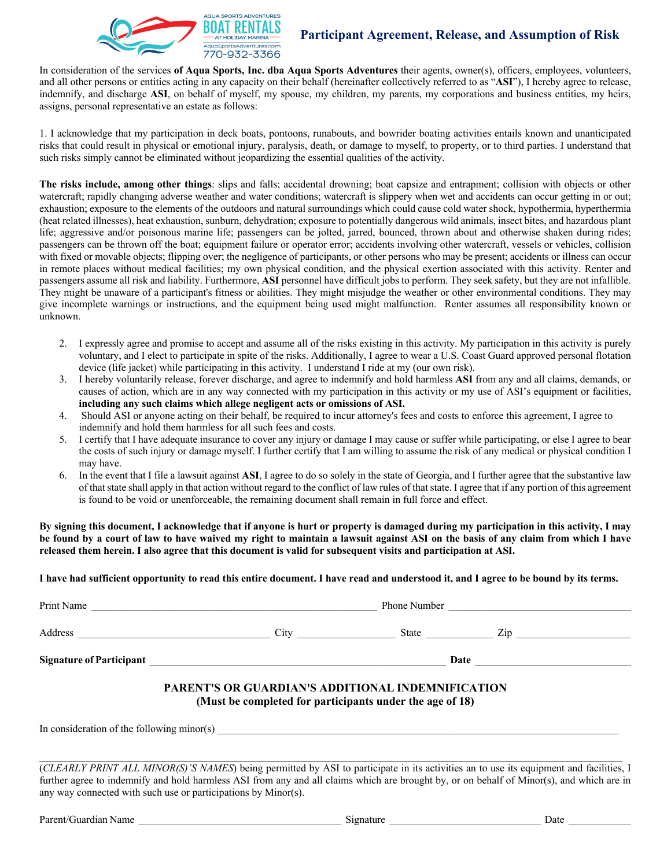

In consideration of the services **of Aqua Sports, Inc. dba Aqua Sports Adventures** their agents, owner(s), officers, employees, volunteers, and all other persons or entities acting in any capacity on their behalf (hereinafter collectively referred to as "**ASI**"), I hereby agree to release, indemnify, and discharge **ASI**, on behalf of myself, my spouse, my children, my parents, my corporations and business entities, my heirs, assigns, personal representative an estate as follows:

1. I acknowledge that my participation in deck boats, pontoons, runabouts, and bowrider boating activities entails known and unanticipated risks that could result in physical or emotional injury, paralysis, death, or damage to myself, to property, or to third parties. I understand that such risks simply cannot be eliminated without jeopardizing the essential qualities of the activity.

**The risks include, among other things**: slips and falls; accidental drowning; boat capsize and entrapment; collision with objects or other watercraft; rapidly changing adverse weather and water conditions; watercraft is slippery when wet and accidents can occur getting in or out; exhaustion; exposure to the elements of the outdoors and natural surroundings which could cause cold water shock, hypothermia, hyperthermia (heat related illnesses), heat exhaustion, sunburn, dehydration; exposure to potentially dangerous wild animals, insect bites, and hazardous plant life; aggressive and/or poisonous marine life; passengers can be jolted, jarred, bounced, thrown about and otherwise shaken during rides; passengers can be thrown off the boat; equipment failure or operator error; accidents involving other watercraft, vessels or vehicles, collision with fixed or movable objects; flipping over; the negligence of participants, or other persons who may be present; accidents or illness can occur in remote places without medical facilities; my own physical condition, and the physical exertion associated with this activity. Renter and passengers assume all risk and liability. Furthermore, **ASI** personnel have difficult jobs to perform. They seek safety, but they are not infallible. They might be unaware of a participant's fitness or abilities. They might misjudge the weather or other environmental conditions. They may give incomplete warnings or instructions, and the equipment being used might malfunction. Renter assumes all responsibility known or unknown.

- 2. I expressly agree and promise to accept and assume all of the risks existing in this activity. My participation in this activity is purely voluntary, and I elect to participate in spite of the risks. Additionally, I agree to wear a U.S. Coast Guard approved personal flotation device (life jacket) while participating in this activity. I understand I ride at my (our own risk).
- 3. I hereby voluntarily release, forever discharge, and agree to indemnify and hold harmless **ASI** from any and all claims, demands, or causes of action, which are in any way connected with my participation in this activity or my use of ASI's equipment or facilities, **including any such claims which allege negligent acts or omissions of ASI.**
- 4. Should ASI or anyone acting on their behalf, be required to incur attorney's fees and costs to enforce this agreement, I agree to indemnify and hold them harmless for all such fees and costs.
- 5. I certify that I have adequate insurance to cover any injury or damage I may cause or suffer while participating, or else I agree to bear the costs of such injury or damage myself. I further certify that I am willing to assume the risk of any medical or physical condition I may have.
- 6. In the event that I file a lawsuit against **ASI**, I agree to do so solely in the state of Georgia, and I further agree that the substantive law of that state shall apply in that action without regard to the conflict of law rules of that state. I agree that if any portion of this agreement is found to be void or unenforceable, the remaining document shall remain in full force and effect.

**By signing this document, I acknowledge that if anyone is hurt or property is damaged during my participation in this activity, I may be found by a court of law to have waived my right to maintain a lawsuit against ASI on the basis of any claim from which I have released them herein. I also agree that this document is valid for subsequent visits and participation at ASI.** 

**I have had sufficient opportunity to read this entire document. I have read and understood it, and I agree to be bound by its terms.** 

| Print Name                      | <b>Phone Number</b> |       |     |  |
|---------------------------------|---------------------|-------|-----|--|
| Address                         | City                | State | Zip |  |
| <b>Signature of Participant</b> |                     | Date  |     |  |

# **PARENT'S OR GUARDIAN'S ADDITIONAL INDEMNIFICATION (Must be completed for participants under the age of 18)**

In consideration of the following minor(s)

(*CLEARLY PRINT ALL MINOR(S)'S NAMES*) being permitted by ASI to participate in its activities an to use its equipment and facilities, I further agree to indemnify and hold harmless ASI from any and all claims which are brought by, or on behalf of Minor(s), and which are in any way connected with such use or participations by Minor(s).

 $\_$  , and the set of the set of the set of the set of the set of the set of the set of the set of the set of the set of the set of the set of the set of the set of the set of the set of the set of the set of the set of th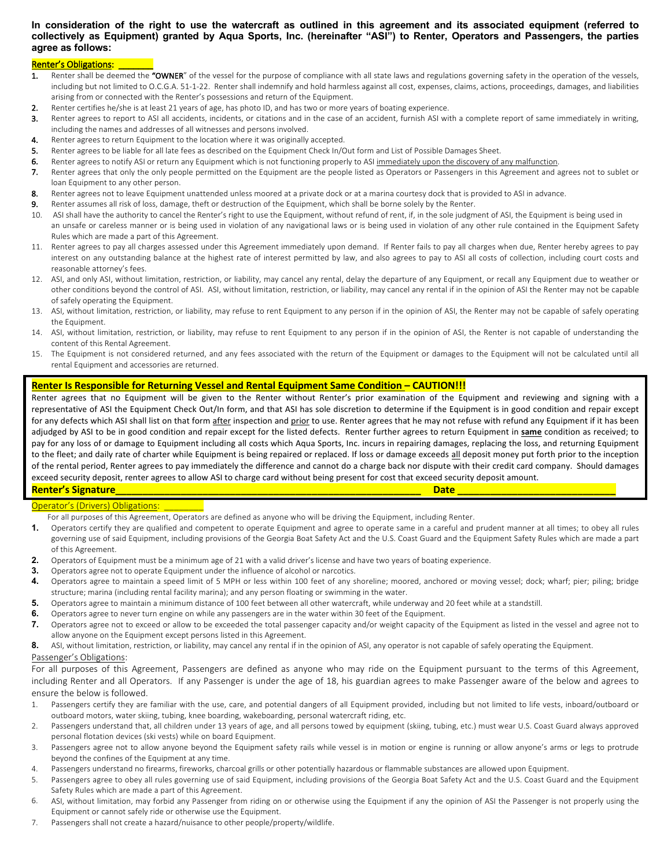### **In consideration of the right to use the watercraft as outlined in this agreement and its associated equipment (referred to collectively as Equipment) granted by Aqua Sports, Inc. (hereinafter "ASI") to Renter, Operators and Passengers, the parties agree as follows:**

### Renter's Obligations:

- 1. Renter shall be deemed the "OWNER" of the vessel for the purpose of compliance with all state laws and regulations governing safety in the operation of the vessels, including but not limited to O.C.G.A. 51-1-22. Renter shall indemnify and hold harmless against all cost, expenses, claims, actions, proceedings, damages, and liabilities arising from or connected with the Renter's possessions and return of the Equipment.
- 2. Renter certifies he/she is at least 21 years of age, has photo ID, and has two or more years of boating experience.
- 3. Renter agrees to report to ASI all accidents, incidents, or citations and in the case of an accident, furnish ASI with a complete report of same immediately in writing, including the names and addresses of all witnesses and persons involved.
- 4. Renter agrees to return Equipment to the location where it was originally accepted.
- 5. Renter agrees to be liable for all late fees as described on the Equipment Check In/Out form and List of Possible Damages Sheet.
- 6. Renter agrees to notify ASI or return any Equipment which is not functioning properly to ASI immediately upon the discovery of any malfunction.
- 7. Renter agrees that only the only people permitted on the Equipment are the people listed as Operators or Passengers in this Agreement and agrees not to sublet or loan Equipment to any other person.
- 8. Renter agrees not to leave Equipment unattended unless moored at a private dock or at a marina courtesy dock that is provided to ASI in advance.
- 9. Renter assumes all risk of loss, damage, theft or destruction of the Equipment, which shall be borne solely by the Renter.
- 10. ASI shall have the authority to cancel the Renter's right to use the Equipment, without refund of rent, if, in the sole judgment of ASI, the Equipment is being used in an unsafe or careless manner or is being used in violation of any navigational laws or is being used in violation of any other rule contained in the Equipment Safety Rules which are made a part of this Agreement.
- 11. Renter agrees to pay all charges assessed under this Agreement immediately upon demand. If Renter fails to pay all charges when due, Renter hereby agrees to pay interest on any outstanding balance at the highest rate of interest permitted by law, and also agrees to pay to ASI all costs of collection, including court costs and reasonable attorney's fees.
- 12. ASI, and only ASI, without limitation, restriction, or liability, may cancel any rental, delay the departure of any Equipment, or recall any Equipment due to weather or other conditions beyond the control of ASI. ASI, without limitation, restriction, or liability, may cancel any rental if in the opinion of ASI the Renter may not be capable of safely operating the Equipment.
- 13. ASI, without limitation, restriction, or liability, may refuse to rent Equipment to any person if in the opinion of ASI, the Renter may not be capable of safely operating the Equipment.
- 14. ASI, without limitation, restriction, or liability, may refuse to rent Equipment to any person if in the opinion of ASI, the Renter is not capable of understanding the content of this Rental Agreement.
- 15. The Equipment is not considered returned, and any fees associated with the return of the Equipment or damages to the Equipment will not be calculated until all rental Equipment and accessories are returned.

### **Renter Is Responsible for Returning Vessel and Rental Equipment Same Condition – CAUTION!!!**

Renter agrees that no Equipment will be given to the Renter without Renter's prior examination of the Equipment and reviewing and signing with a representative of ASI the Equipment Check Out/In form, and that ASI has sole discretion to determine if the Equipment is in good condition and repair except for any defects which ASI shall list on that form after inspection and prior to use. Renter agrees that he may not refuse with refund any Equipment if it has been adjudged by ASI to be in good condition and repair except for the listed defects. Renter further agrees to return Equipment in **same** condition as received; to pay for any loss of or damage to Equipment including all costs which Aqua Sports, Inc. incurs in repairing damages, replacing the loss, and returning Equipment to the fleet; and daily rate of charter while Equipment is being repaired or replaced. If loss or damage exceeds all deposit money put forth prior to the inception of the rental period, Renter agrees to pay immediately the difference and cannot do a charge back nor dispute with their credit card company. Should damages exceed security deposit, renter agrees to allow ASI to charge card without being present for cost that exceed security deposit amount. **Renter's Signature\_\_\_\_\_\_\_\_\_\_\_\_\_\_\_\_\_\_\_\_\_\_\_\_\_\_\_\_\_\_\_\_\_\_\_\_\_\_\_\_\_\_\_\_\_\_\_\_\_\_\_\_\_\_\_\_ Date \_\_\_\_\_\_\_\_\_\_\_\_\_\_\_\_\_\_\_\_\_\_\_\_\_\_\_\_\_**

### Operator's (Drivers) Obligations:

- **1.** Operators certify they are qualified and competent to operate Equipment and agree to operate same in a careful and prudent manner at all times; to obey all rules governing use of said Equipment, including provisions of the Georgia Boat Safety Act and the U.S. Coast Guard and the Equipment Safety Rules which are made a part of this Agreement.
- **2.** Operators of Equipment must be a minimum age of 21 with a valid driver's license and have two years of boating experience.
- **3.** Operators agree not to operate Equipment under the influence of alcohol or narcotics.
- **4.** Operators agree to maintain a speed limit of 5 MPH or less within 100 feet of any shoreline; moored, anchored or moving vessel; dock; wharf; pier; piling; bridge structure; marina (including rental facility marina); and any person floating or swimming in the water.
- **5.** Operators agree to maintain a minimum distance of 100 feet between all other watercraft, while underway and 20 feet while at a standstill.
- **6.** Operators agree to never turn engine on while any passengers are in the water within 30 feet of the Equipment.
- **7.** Operators agree not to exceed or allow to be exceeded the total passenger capacity and/or weight capacity of the Equipment as listed in the vessel and agree not to allow anyone on the Equipment except persons listed in this Agreement.
- 8. ASI, without limitation, restriction, or liability, may cancel any rental if in the opinion of ASI, any operator is not capable of safely operating the Equipment.

### Passenger's Obligations:

 including Renter and all Operators. If any Passenger is under the age of 18, his guardian agrees to make Passenger aware of the below and agrees to For all purposes of this Agreement, Passengers are defined as anyone who may ride on the Equipment pursuant to the terms of this Agreement, ensure the below is followed.

- 1. Passengers certify they are familiar with the use, care, and potential dangers of all Equipment provided, including but not limited to life vests, inboard/outboard or outboard motors, water skiing, tubing, knee boarding, wakeboarding, personal watercraft riding, etc.
- 2. Passengers understand that, all children under 13 years of age, and all persons towed by equipment (skiing, tubing, etc.) must wear U.S. Coast Guard always approved personal flotation devices (ski vests) while on board Equipment.
- 3. Passengers agree not to allow anyone beyond the Equipment safety rails while vessel is in motion or engine is running or allow anyone's arms or legs to protrude beyond the confines of the Equipment at any time.
- 4. Passengers understand no firearms, fireworks, charcoal grills or other potentially hazardous or flammable substances are allowed upon Equipment.
- 5. Passengers agree to obey all rules governing use of said Equipment, including provisions of the Georgia Boat Safety Act and the U.S. Coast Guard and the Equipment Safety Rules which are made a part of this Agreement.
- 6. ASI, without limitation, may forbid any Passenger from riding on or otherwise using the Equipment if any the opinion of ASI the Passenger is not properly using the Equipment or cannot safely ride or otherwise use the Equipment.
- 7. Passengers shall not create a hazard/nuisance to other people/property/wildlife.

For all purposes of this Agreement, Operators are defined as anyone who will be driving the Equipment, including Renter.